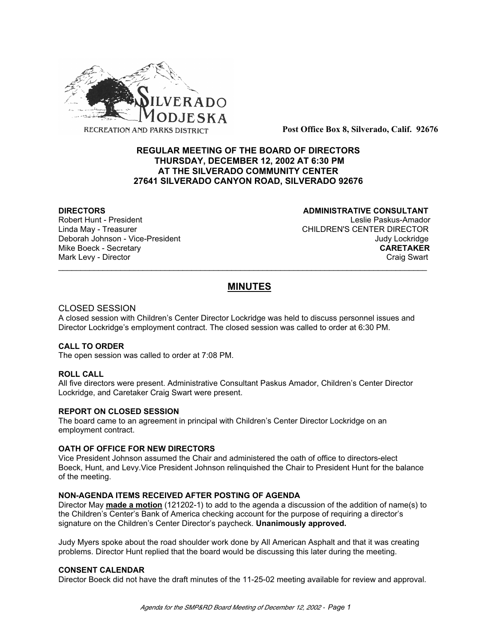

**Post Office Box 8, Silverado, Calif. 92676**

# **REGULAR MEETING OF THE BOARD OF DIRECTORS THURSDAY, DECEMBER 12, 2002 AT 6:30 PM AT THE SILVERADO COMMUNITY CENTER 27641 SILVERADO CANYON ROAD, SILVERADO 92676**

# **DIRECTORS CONSULTANT**

Robert Hunt - President Leslie Paskus-Amador Linda May - Treasurer CHILDREN'S CENTER DIRECTOR Deborah Johnson - Vice-President Judy Lockridge Mike Boeck - Secretary **CARETAKER** Mark Levy - Director **Craig Swart** Craig Swart Craig Swart Craig Swart

# **MINUTES**

\_\_\_\_\_\_\_\_\_\_\_\_\_\_\_\_\_\_\_\_\_\_\_\_\_\_\_\_\_\_\_\_\_\_\_\_\_\_\_\_\_\_\_\_\_\_\_\_\_\_\_\_\_\_\_\_\_\_\_\_\_\_\_\_\_\_\_\_\_\_\_\_\_\_\_\_\_\_\_\_\_\_\_

## CLOSED SESSION

A closed session with Children's Center Director Lockridge was held to discuss personnel issues and Director Lockridge's employment contract. The closed session was called to order at 6:30 PM.

## **CALL TO ORDER**

The open session was called to order at 7:08 PM.

## **ROLL CALL**

All five directors were present. Administrative Consultant Paskus Amador, Children's Center Director Lockridge, and Caretaker Craig Swart were present.

## **REPORT ON CLOSED SESSION**

The board came to an agreement in principal with Children's Center Director Lockridge on an employment contract.

## **OATH OF OFFICE FOR NEW DIRECTORS**

Vice President Johnson assumed the Chair and administered the oath of office to directors-elect Boeck, Hunt, and Levy.Vice President Johnson relinquished the Chair to President Hunt for the balance of the meeting.

## **NON-AGENDA ITEMS RECEIVED AFTER POSTING OF AGENDA**

Director May **made a motion** (121202-1) to add to the agenda a discussion of the addition of name(s) to the Children's Center's Bank of America checking account for the purpose of requiring a director's signature on the Children's Center Director's paycheck. **Unanimously approved.**

Judy Myers spoke about the road shoulder work done by All American Asphalt and that it was creating problems. Director Hunt replied that the board would be discussing this later during the meeting.

## **CONSENT CALENDAR**

Director Boeck did not have the draft minutes of the 11-25-02 meeting available for review and approval.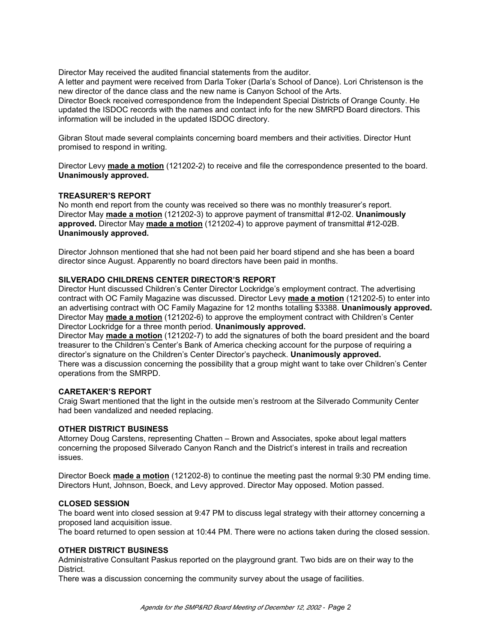Director May received the audited financial statements from the auditor.

A letter and payment were received from Darla Toker (Darla's School of Dance). Lori Christenson is the new director of the dance class and the new name is Canyon School of the Arts. Director Boeck received correspondence from the Independent Special Districts of Orange County. He updated the ISDOC records with the names and contact info for the new SMRPD Board directors. This information will be included in the updated ISDOC directory.

Gibran Stout made several complaints concerning board members and their activities. Director Hunt promised to respond in writing.

Director Levy **made a motion** (121202-2) to receive and file the correspondence presented to the board. **Unanimously approved.**

#### **TREASURER'S REPORT**

No month end report from the county was received so there was no monthly treasurer's report. Director May **made a motion** (121202-3) to approve payment of transmittal #12-02. **Unanimously approved.** Director May **made a motion** (121202-4) to approve payment of transmittal #12-02B. **Unanimously approved.**

Director Johnson mentioned that she had not been paid her board stipend and she has been a board director since August. Apparently no board directors have been paid in months.

#### **SILVERADO CHILDRENS CENTER DIRECTOR'S REPORT**

Director Hunt discussed Children's Center Director Lockridge's employment contract. The advertising contract with OC Family Magazine was discussed. Director Levy **made a motion** (121202-5) to enter into an advertising contract with OC Family Magazine for 12 months totalling \$3388. **Unanimously approved.** Director May **made a motion** (121202-6) to approve the employment contract with Children's Center Director Lockridge for a three month period. **Unanimously approved.**

Director May **made a motion** (121202-7) to add the signatures of both the board president and the board treasurer to the Children's Center's Bank of America checking account for the purpose of requiring a director's signature on the Children's Center Director's paycheck. **Unanimously approved.** There was a discussion concerning the possibility that a group might want to take over Children's Center operations from the SMRPD.

#### **CARETAKER'S REPORT**

Craig Swart mentioned that the light in the outside men's restroom at the Silverado Community Center had been vandalized and needed replacing.

#### **OTHER DISTRICT BUSINESS**

Attorney Doug Carstens, representing Chatten – Brown and Associates, spoke about legal matters concerning the proposed Silverado Canyon Ranch and the District's interest in trails and recreation issues.

Director Boeck **made a motion** (121202-8) to continue the meeting past the normal 9:30 PM ending time. Directors Hunt, Johnson, Boeck, and Levy approved. Director May opposed. Motion passed.

#### **CLOSED SESSION**

The board went into closed session at 9:47 PM to discuss legal strategy with their attorney concerning a proposed land acquisition issue.

The board returned to open session at 10:44 PM. There were no actions taken during the closed session.

#### **OTHER DISTRICT BUSINESS**

Administrative Consultant Paskus reported on the playground grant. Two bids are on their way to the **District.** 

There was a discussion concerning the community survey about the usage of facilities.